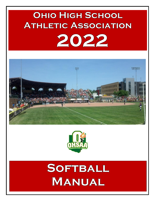# **OHIO HIGH SCHOOL ATHLETIC ASSOCIATION** 2022





SOFTBALL **MANUAL**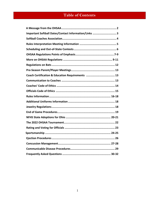# **Table of Contents**

| Important Softball Dates/Contact Information/Links  3 |  |
|-------------------------------------------------------|--|
|                                                       |  |
|                                                       |  |
|                                                       |  |
|                                                       |  |
|                                                       |  |
|                                                       |  |
|                                                       |  |
| Coach Certification & Education Requirements  13      |  |
|                                                       |  |
|                                                       |  |
|                                                       |  |
|                                                       |  |
|                                                       |  |
|                                                       |  |
|                                                       |  |
|                                                       |  |
|                                                       |  |
|                                                       |  |
|                                                       |  |
|                                                       |  |
|                                                       |  |
|                                                       |  |
|                                                       |  |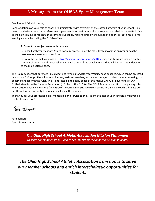# **A Message from the OHSAA Sport Management Team**

Coaches and Administrators,

Congratulations on your role as coach or administrator with oversight of the softball program at your school. This manual is designed as a quick reference for pertinent information regarding the sport of softball in the OHSAA. Due to the high volume of requests that come to our office, you are strongly encouraged to do three (3) things prior to sending an email or calling the OHSAA office:

1. Consult the subject areas in this manual.

2. Consult with your school's Athletic Administrator. He or she most likely knows the answer or has the resource to answer your questions.

3. Go to the Softball webpage at [https://www.ohsaa.org/sports/softball.](https://www.ohsaa.org/sports/softball) Various items are located on this site to assist you. In addition, I ask that you take note of the coach memos that will be sent out and posted to the main softball page.

This is a reminder that our State Rules Meetings remain mandatory for Varsity head coaches, which can be accessed on your myOHSAA profile. All other volunteer, assistant coaches, etc. are encouraged to view the rules meeting and become familiar with the rules. This is addressed in the early pages of this manual. All rules governing OHSAA Softball stem from the National Federation (NFHS) and the OHSAA. The NFHS Rules are specific to the playing rules while OHSAA Sports Regulations (and Bylaws) govern administrative rules specific to Ohio. No coach, administrator, or official has the authority to modify or set aside these rules.

Thank you for your professionalism, mentorship and service to the student-athletes at your schools. I wish you all the best this season!

Pate Barnett

Kate Barnett Sport Administrator

*The Ohio High School Athletic Association Mission Statement To serve our member schools and enrich interscholastic opportunities for students.* 

*The Ohio High School Athletic Association's mission is to serve our member schools and enrich interscholastic opportunities for students*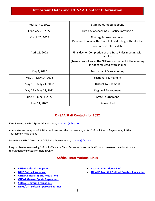# **Important Dates and OHSAA Contact Information**

| February 9, 2022      | State Rules meeting opens                                                                                            |
|-----------------------|----------------------------------------------------------------------------------------------------------------------|
| February 21, 2022     | First day of coaching / Practice may begin                                                                           |
| March 26, 2022        | First regular season contest<br>Deadline to review the State Rules Meeting without a fee<br>Non-interscholastic date |
| April 25, 2022        | Final day for Completion of the State Rules meeting with<br>late Fee                                                 |
|                       | (Teams cannot enter the OHSAA tournament if the meeting<br>is not completed by this time)                            |
| May 1, 2022           | Tournament Draw meeting                                                                                              |
| May 7 – May 14, 2022  | <b>Sectional Tournament</b>                                                                                          |
| May 16 - May 21, 2022 | <b>District Tournament</b>                                                                                           |
| May 25 - May 28, 2022 | <b>Regional Tournament</b>                                                                                           |
| June 2 – June 4, 2022 | <b>State Tournament</b>                                                                                              |
| June 11, 2022         | Season End                                                                                                           |

## **OHSAA Staff Contacts for 2022**

Kate Barnett, OHSAA Sport Administrator[, kbarnett@ohsaa.org](mailto:kbarnett@ohsaa.org)

Administrates the sport of Softball and oversees the tournament, writes Softball Sports' Regulations, Softball Tournament Regulations

Jerry Fick, OHSAA Director of Officiating Development, [swdoc@fuse.net](mailto:swdoc@fuse.net)

Responsible for overseeing Softball officials in Ohio. Serves as liaison with NFHS and oversees the education and recruitment of softball officials in Ohio.

## **Softball Informational Links**

- **[OHSAA Softball Webpage](https://www.ohsaa.org/sports/softball)**
- **[NFHS Softball Webpage](https://www.nfhs.org/activities-sports/softball/)**
- **[OHSAA Softball Sports Regulations](https://ohsaaweb.blob.core.windows.net/files/Sports/Softball/SoftballRegs.pdf)**
- **[OHSAA General Sports Regulations](https://ohsaaweb.blob.core.windows.net/files/Sports/GeneralSportsRegulations.pdf)**
- **[Softball Uniform Regulations](https://www.ohsaa.org/SchoolResources/uniform/softball)**
- **[NFHS/USA Softball Approved Bat List](https://www.teamusa.org/USA-Softball/Certified-Equipment)**
- **[Coaches Education](https://nfhslearn.com/) (NFHS)**
- **[Ohio HS Fastpitch Softball Coaches Association](http://www.ohsfsca.org/index.html)**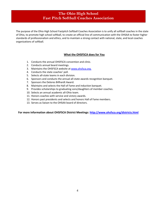# **The Ohio High School Fast Pitch Softball Coaches Association**

The purpose of the Ohio High School Fastpitch Softball Coaches Association is to unify all softball coaches in the state of Ohio, to promote high school softball, to create an official line of communication with the OHSAA to foster higher standards of professionalism and ethics, and to maintain a strong contact with national, state, and local coaches organizations of softball.

#### **What the OHSFSCA does for You**

- 1. Conducts the annual OHSFSCA convention and clinic.
- 2. Conducts annual board meetings.
- 3. Maintains the OHSFSCA website at [www.ohsfsca.org.](http://www.ohsfsca.org/)
- 4. Conducts the state coaches' poll.
- 5. Selects all-state teams in each division.
- 6. Sponsors and conducts the annual all-state awards recognition banquet.
- 7. Sponsors the Delores Billhardt Award.
- 8. Maintains and selects the Hall of Fame and induction banquet.
- 9. Provides scholarships to graduating sons/daughters of member coaches.
- 10. Selects an annual academic all-Ohio team.
- 11. Honors coaches with service and victory awards.
- 12. Honors past presidents and selects and honors Hall of Fame members.
- 13. Serves as liaison to the OHSAA board of directors.

**For more information about OHSFSCA District Meetings:<http://www.ohsfsca.org/districts.html>**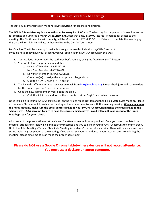# **Rules Interpretation Meetings**

The State Rules Interpretation Meeting is **MANDATORY** for coaches and umpires.

**The ONLINE Rules Meeting link was activated February 9 at 9:00 a.m.** The last day for completion of the online version for coaches and umpires is **March 26 at 11:59 p.m.** After that time, a \$50.00 late fee is charged for access to the meeting. The FINAL deadline with penalty, will be Monday, April 25 at 11:59 p.m. Failure to complete the meeting by this date will result in immediate withdrawal from the OHSAA Tournament.

**For Coaches:** The Rules meeting is available through the coach's individual myOHSAA account. If you do not already have your account, you will obtain your myOHSAA account in this way:

- 1. Your Athletic Director adds the staff member's name by using the "Add New Staff" button.
- 2. Your AD follows the prompts to add the:
	- a. New Staff Member's FIRST NAME
	- b. New Staff Member's LAST NAME
	- c. New Staff Member's EMAIL ADDRESS
	- d. Check box(es) to assign the appropriate roles/positions
	- e. Click the "INVITE NEW STAFF" button
- 3. The invited staff member (you) receives an email from [info@myohsaa.org.](mailto:info@myohsaa.org) Please check junk and spam folders for this email if you don't see it in your inbox.
- 4. Once the new staff member (you) opens the email,
	- a. Click the link inside and follow the prompts to either 'login' or 'create an account'

Once you login to your myOHSAA profile, click on the "Rules Meetings" tab and then Find a State Rules Meeting. Please do not use a Chromebook to watch the meeting as there have been issues with the meeting freezing. **When you access the Rules Meeting, make sure the email address linked to your myOHSAA account matches the email linked to the school's myOHSAA account. Failure to have the correct email address linked will result in no record of the Rules Meeting credit for your school.**

All screens of the presentation must be viewed for attendance credit to be provided. Once you have completed the meeting, attendance credit will be immediately recorded and you can check your myOHSAA account to confirm credit. Go to the Rules Meetings Tab and "My State Meeting Attendance" on the left-hand side. There will be a date and time stamp indicating completion of the meeting. If you do not see your attendance in your account after completing the meeting, please email me so I can make the proper adjustment.

## **Please do NOT use a Google Chrome tablet—these devices will not record attendance. You must use a desktop or laptop computer.**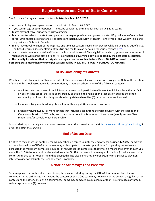# **Regular Season and Out-of-State Contests**

The first date for regular season contests is **Saturday, March 26, 2022.**

- You may not play any regular season contest prior to March 26, 2022.
- If you scrimmage another opponent, it must be considered the same for both participating teams.
- Teams may not travel out of state just to practice.
- Teams may travel out of state to compete in scrimmages, previews and games in states OR provinces in Canada that border Ohio regardless of distance. The states are Indiana, Kentucky, Michigan, Pennsylvania, and West Virginia and the province is Ontario in Canada.
- Teams may travel to a non-bordering state one time per season. Teams may practice while participating out of state. The Board requires documentation of this trip and the form can be found for your reference [here.](https://ohsaaweb.blob.core.windows.net/files/Eligibility/forms/NonBorderingStateApproval.pdf)
- In all contests competed outside Ohio, each school shall follow all Ohio eligibility standards, general and sport-specific regulations as well as the playing rules (NFHS or national governing body) as adopted by the host state association.
- **The penalty for schools that participate in a regular season contest before March 26, 2022 or travel to a nonbordering state more than one time per season shall be INELIGIBILITY FOR THE OHSAA TOURNAMENT.**

## **NFHS Sanctioning of Contests**

Whether a contest/event is in Ohio or outside of Ohio, schools must secure a sanction through the National Federation of State High School Associations for competition by a member school in any of the following contests:

- a.) Any interstate tournament in which four or more schools participate ANY event which includes either an Ohio or an out-of-state school that is co-sponsored by or titled in the name of an organization outside the school community; b.) Events involving non-bordering states where five (5) or more states are involved;
- b.) Events involving non-bordering states if more than eight (8) schools are involved;
- c.) Events involving two (2) or more schools that includes a team from a foreign country, with the exception of Canada and Mexico. NOTE: In b.) and c.) above, no sanction is required if the contest(s) only involve Ohio schools and/or schools which border Ohio.

Schools desiring to participate in an event covered under the scenarios must visit https://www.nfhs.org/Sanctioning/ in order to obtain the sanction.

## **End of Season Date**

Relative to regular season contests, teams may schedule games up until the end of season, **June 11, 2022.** Teams who do not advance in the OHSAA tournament may still compete in contests up until June 11th pending teams have not exhausted the maximum permissible number of regular season contests at that time. his means that, even though you are in the OHSAA tournament or eliminated from the OHSAA tournament, you may still schedule (usually 'make up') a contest until this date. Keep in mind that playing this late also eliminates any opportunity for a player to play noninterscholastic softball until the school season is complete.

## **A Note on Scrimmages and Previews**

Scrimmages are permitted at anytime during the season, including during the OHSAA tournament. Both teams competing in the scrimmage must count the contests as such. One team may not consider the contest a regular season contest and the other consider it a scrimmage. Teams may compete in a maximum of four (4) scrimmages or three (3) scrimmages and one (1) preview.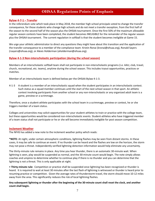# **OHSAA Regulations Points of Emphasis**

#### **Bylaw 4-7-1 – Transfer**

In the referendum vote which took place in May 2018, the member high school principals voted to change the transfer consequence, for those students who change high schools and do not meet a transfer exception, from the first half of the season to the second half of the season plus the OHSAA tournament. Once the first 50% of the maximum allowable regular season contests have been completed, the student becomes INELIGIBLE for the remainder of the regular season plus the OHSAA tournament. The current regulation in softball is that the student becomes ineligible at Game 15.

We urge your athletic administrator to direct any questions they might have about this transition and the application of the transfer consequence to a member of the compliance team: Kristin Ronai (kronai@ohsaa.org), Ronald Sayers (rsayers@ohsaa.org), or Alexis Holderman (aholderman@ohsaa.org).

#### **Bylaw 4-1-3 Non-interscholastic participation (during the school season)**

Members of an interscholastic softball team shall not participate in non-interscholastic programs (i.e. AAU, club, travel, church, recreational, etc. teams), anytime during the school season. This includes tryout opportunities, practices or matches.

Member of an interscholastic team is defined below per the OHSAA Bylaw 4-1-3.

4-1-3 A student is a member of an interscholastic squad when the student participates in an interscholastic contest. Such status as a squad member continues until the start of the next school season in that sport. An athletic contest involving participants from another school or any non-interscholastic or any organized adult team is a game, preview or a scrimmage.

Therefore, once a student-athlete participates with the school team in a scrimmage, preview or contest, he or she triggers member of a team status.

Colleges and universities may solicit opportunities for your student-athletes to train or practice with the college team, but these opportunities would be considered non-interscholastic events. Student-athletes who have triggered member of a team status shall not participate or he or she will become immediately ineligible for post season competition.

#### **Inclement Weather**

The NFHS has added a new note to the inclement weather policy which reads:

**\*NOTE:** At night, under certain atmospheric conditions, lightning flashes may be seen from distant storms. In these cases, it may be safe to continue an event. If no thunder can be heard and the flashes are low on the horizon, the storm may not pose a threat. Independently verified lightning detection information would help eliminate any uncertainty.

The thirty-minute rule remains in place. Any time you hear thunder, there is an automatic 30-minute wait. When lightning is seen, play would be suspended as normal, and the 30-minute count would begin. The note simply allows coaches and umpires to determine whether to continue play if there is no thunder and you can determine that the lightning is not a threat. This is only applicable at night.

• **Thirty-minute rule:** Competition or practice shall be suspended once lightning has been recognized or thunder is heard. It is required to wait at least 30 minutes after the last flash of lightning is witnessed or thunder is heard prior to resuming practice or competition. Given the average rates of thunderstorm travel, the storm should move 10-12 miles away from the area. This significantly reduces the risk of local lightning flashes.

**Any subsequent lightning or thunder after the beginning of the 30-minute count shall reset the clock, and another count shall begin.**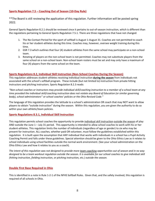#### **Sports Regulation 7.5 – Coaching Out of Season (10-Day Rule)**

\*\*The Board is still reviewing the application of this regulation. Further information will be posted spring 2022.

General Sports Regulation 8.2.1 should be reviewed since it pertains to out-of-season instruction, which is different than the regulations pertaining to General Sports Regulation 7.5.1. There are three regulations that have not changed:

- 1. The No-Contact Period for the sport of softball is August 1-August 31. Coaches are not permitted to coach his or her student-athletes during this time. Coaches may, however, oversee weight training during this time.
- 2. GSR 7.3 which outlines that four (4) student-athletes from the same school may participate on a non-school team.
- 3. Rotating of players on the non-school team is not permitted. Coaches may not substitute players from the same school on a non-school team. Non-school team rosters must be set and may only have a maximum of four (4) players from the same school on the team.

#### **Sports Regulations 8.2, Individual Skill Instruction (Non-School Coaches During the Season)**

This regulation addresses student-athletes receiving individual instruction **during the season** from individuals not associated with the school's softball program. These include (but not limited to) instruction from private hitting instructors and pitching instructors. Sports Regulation 8.2.3 reads:

*"Non-school coaches or instructors may provide individual skill/coaching instruction to a member of a school team at any time provided the individual skill/coaching instruction does not violate any Board of Education (or similar governing body), school administrators'' or school coaches' policies or the Ohio Revised Code."*

The language of this regulation provides the latitude to a school's administration OR coach that may NOT want to allow players to obtain "outside instruction" during the season. Within this regulation, you are given the authority to do so within your own athletic/team policies.

#### **Sports Regulations 8.3.1, Individual Skill Instruction**

This regulation permits school coaches the opportunity to provide individual skill instruction outside the season of play AND outside the June 1 – July 31 period. This opportunity is intended to allow school coaches to work with his or her student-athletes. This regulation limits the number of individuals (regardless of age or gender) to six who may be present for instruction. ALL coaches, whether paid OR volunteer, must follow the guidelines established within this regulation. It is built upon the assumption that ANY individual that works with individuals in a school has a Pupil Activity Coaching Permit and falls under these guidelines. Special attention should be given to the Ohio Ethics Law as it relates to school individuals using school facilities outside the normal work environment. (See your school administration on the Ohio Ethics Law and how it relates to you as a coach).

*The intent of this regulation was not designed to provide more team coaching opportunities out of season and in no way designed to be a team workout regulation outside the season. It is available for our school coaches to give individual skill (hitting instruction, fielding instruction, or pitching instruction, etc.) outside the season.*

#### **Double First Base Required in Ohio**

This is identified in a note in Rule 1-2-1 of the NFHS Softball Rules. Given that, and the safety involved, this regulation is required of all schools in Ohio.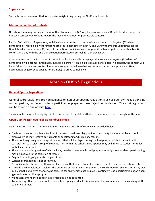#### **Supervision**

Softball coaches are permitted to supervise weightlifting during the No-Contact periods.

#### **Maximum number of contests**

No school team may participate in more than twenty-seven (27) regular season contests. Double headers are permitted but each contest would count toward the maximum number of permissible contests.

Per our Softball Sport Regulations, individuals are permitted to compete in a maximum of thirty-two (32) dates of competition. This rule allows for student-athletes to compete on both JV and Varsity teams throughout the season. Doubleheaders count as one (1) date of competition. Individuals are not permitted to compete in more than two (2) contests in a day with the one-day exception permitted in softball for a tripleheader.

Coaches must keep track of dates of competition for individuals. Any player that exceeds thirty-two (32) dates of competition will become immediately ineligible. Further, if an ineligible player participates in a contest, the contest will be forfeited. In the event contest limitations are questioned, coaches and administrators must provide written documentation (scorebook pages for example) to prove compliance.

# **More on OHSAA Regulations**

#### **General Sports Regulations**

General sport regulations provide guidance on non-sport specific regulations such as open gym regulations, no contact periods, non-interscholastic participation, player and coach ejection policies, etc. The sport regulations can be found on our website [here.](https://ohsaaweb.blob.core.windows.net/files/Sports/GeneralSportsRegulations.pdf)

This manual is designed to highlight just a few pertinent regulations that pose a lot of questions throughout the year.

#### **Open Gyms/Facilities/Fields at Member Schools**

Open gyms (or facilities) are clearly defined in GSR 10, but a brief overview is provided below.

- A school may open its athletic facilities for unstructured free play provided the activity is supervised by a school employee who may remove participants or spectators for disciplinary reasons.
- The school may designate the sport or sports that will be played during the free play period, but may not limit participation to a select group of students from within the school. Participation may be limited to students enrolled in that specific school.
- There can be no designation of who will play on which team or who will play whom. Only those students participating may be involved in the selection of teams.
- Regulation timing of games is not permitted.
- Written scorekeeping is not permitted.
- No individual invitations, written or oral, are permitted to any student who is not enrolled and in that school district.
- A coach, paid or volunteer, violates the provision of these regulations when the coach requires, suggests or in any way implies that a student's chance to be selected for an interscholastic squad is contingent upon participation at an open gymnasium or facilities program.
- Mandatory attendance at open gyms/facilities is not permitted.
- Transporting athletes to a school or non-school open gym/facility is a violation for any member of the coaching staff, paid or volunteer.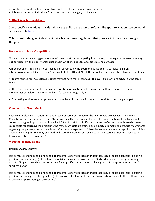- Coaches may participate in the unstructured free play in the open gym/facilities.
- Schools may restrict individuals from observing the open gym/facility activity.

#### **Softball Specific Regulations**

Sport specific regulations provide guidance specific to the sport of softball. The sport regulations can be found on our website [here.](https://ohsaaweb.blob.core.windows.net/files/Sports/Softball/SoftballRegs.pdf)

This manual is designed to highlight just a few pertinent regulations that pose a lot of questions throughout the year.

#### **Non-Interscholastic Competition**

Once a student-athlete triggers member of a team status (by competing in a contest, scrimmage or preview), she may not participate with a non-interscholastic team which includes tryouts, practice and contests.

A member of an interscholastic softball team sponsored by the Board of Education may participate in noninterscholastic softball (such as 'club' or 'travel') PRIOR TO and AFTER the school season under the following conditions:

• Teams formed for FALL softball leagues may not have more than four (4) players from any one school on the same team.

• The 50 percent team limit is not in effect for the sports of baseball, lacrosse and softball as soon as a team member has completed his/her school team's season through July 31.

• Graduating seniors are exempt from this four-player limitation with regard to non-interscholastic participation.

#### **Comments to News Media**

Each year unpleasant situations arise as a result of comments made to the news media by coaches. The OHSAA Constitution and Bylaws reads in part "Great care shall be exercised in the selection of officials, well in advance of the contest and agreed upon by schools involved." Public criticism of officials is a direct reflection upon those who were responsible for assigning the officials to the match. Officials are trained and expected to make no derogatory comments regarding the players, coaches, or schools. Coaches are expected to follow the same procedure in regard to the officials. Coaches violating this rule may be asked to discuss the problem personally with the Executive Director. (See Sports Regulations "Media Regulations")

#### **Videotaping Regulations**

#### **Regular Season Contests**

It is permissible for a school or a school representative to videotape or photograph regular season contests (including previews and scrimmages) of the team or individuals from one's own school. Such videotapes or photographs may be used for "in-game" coaching purposes only if it is specified in the national playing rules of the sport or in the specific sport regulations.

It is permissible for a school or a school representative to videotape or photograph regular season contests (including previews, scrimmages and/or practices) of teams or individuals not from one's own school only with the written consent of all schools participating in the contest(s).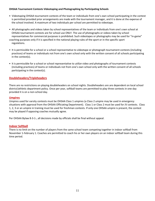#### **OHSAA Tournament Contests Videotaping and Photographing by Participating Schools**

- Videotaping OHSAA tournament contests of the team or individuals from one's own school participating in the contest is permitted provided prior arrangements are made with the tournament manager, and it is done at the expense of the school involved. A maximum of two individuals per school are permitted to videotape.
- All photographs and videos taken by school representatives of the team or individuals from one's own school at OHSAA tournament contests are for school use ONLY. The use of photographs or videos taken by school representatives for commercial purposes is prohibited. Such videotapes or photographs may be used for "in-game" coaching purposes only if it is specified in the national playing rules of the sport or in the specific sport regulations.
- It is permissible for a school or a school representative to videotape or photograph tournament contests (including practices) of teams or individuals not from one's own school only with the written consent of all schools participating in the contest(s).
- It is permissible for a school or school representative to *utilize* video and photographs of tournament contests (including practices) of teams or individuals not from one's own school only with the written consent of all schools participating in the contest(s).

#### **Doubleheaders/Tripleheaders**

There are no restrictions on playing doubleheaders on school nights. Doubleheaders are are dependent on local school district/athletic department policy. Once per year, softball teams are permitted to play three contests in one day provided it is on a non-school day.

#### **Umpires**

Umpires used for varsity contests must be OHSAA Class 1 umpires (a Class 2 umpire may be used in emergency situations with approval from the OHSAA Officiating Department). Class 1 or Class 2 must be used for JV contests. Class 1, 2, 3 or an umpire in training must be used for freshman contests. If only one OHSAA umpire is present, the contest may be played if opposing coaches mutually agree.

Per OHSAA Bylaw 8-3-1-, all decisions made by officials shall be final without appeal.

#### **Indoor Softball**

There is no limit on the number of players from the same school team competing together in indoor softball from November 1-February 1. Coaches are permitted to coach his or her own players on an indoor softball team during this time period.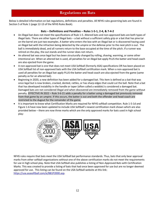Below is detailed information on bat regulations, definitions and penalties. All NFHS rules governing bats are found in Section 5 of Rule 1 (page 12-13 of the NFHS Rules Book).

#### **Bats – Definitions and Penalties – Rules 1-5-1, 2-4, & 7-4-2**

- An illegal bat does not meet the specifications of Rule 1-5. Altered bats and non-approved bats are both types of illegal bats. There are other types of illegal bats – a bat without a sufficient safety grip or a bat that has pine tar on the barrel are just two examples. A batter who enters the box with an illegal bat or is discovered having used an illegal bat with the infraction being detected by the umpire or the defense prior to the next pitch is out. The ball is immediately dead, and all runners return to the base occupied at the time of the pitch. If a runner was retired on the play, the out stands and the runner does not return.
- An altered bat was once legal but has been structurally changed by rolling, shaving, warming, or some other intentional act. When an altered bat is used, all penalties for an illegal bat apply PLUS the batter and head coach are also ejected from the game.
- A non-approved bat is one that does not meet USA Softball (formerly ASA) specifications OR has been placed on USA Softball list of non-approved bats with the USA Softball certification mark. When a non-approved bat is used all penalties for an illegal bat apply PLUS the batter and head coach are also ejected from the game (same penalty as for an altered bat).
- Beginning in 2020, a new definition has been added for a damaged bat. This item is defined as a bat that was once legal but is now broken, cracked, dented, rattles, or has sharp edges that could cut the ball. Note that a bat that has developed instability in the handle or taper (often called a wobble) is considered a damaged bat. Damaged bats are not considered illegal and when discovered are immediately removed from the game without penalty. EFFECTIVE IN 2022 – Rule 3-6-21 adds a penalty for a batter using a damaged bat previously removed from that game by an umpire. If this occurs, the batter is out and both the offender and head coach are restricted to the dugout for the remainder of the game.
- It is important to know what Certification Marks are required for NFHS softball competition. Rule 1-5-1d and Figure 1-6 have now been updated to include USA Softball's newest certification mark shown which are also provided below – there are now three marks which are the only approved marks for bats used in high school play:



NFHS rules require that bats meet the USA Softball bat performance standards. Thus, bats that only bear approval marks from other softball organizations without one of the above certification marks do not meet the requirements for use in high school play. Note that USA Softball also publishes a listing of Non-Approved Bats with Certification Marks. This was created to provide a listing of bats that had once been approved for use but are no longer deemed approved for use. This listing can be found on the USA Softball website at this link: [https://usa.asasoftball.com/e/BB1P2000.asp.](https://usa.asasoftball.com/e/BB1P2000.asp)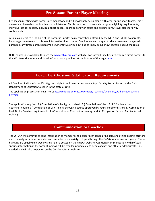# **Pre-Season Parent/Player Meetings**

Pre-season meetings with parents are mandatory and will most likely occur along with other spring sport teams. This is determined by each school's athletic administrator. This is the time to cover such things as eligibility requirements, individual school policies, individual sport polices, sporting behavior issues and expectations, travel plans for away contests, etc.

Also, a course titled "The Role of the Parent in Sports" has recently been offered by the NFHS and is FREE to parents. Encourage them to watch this very informative video course. Coaches are encouraged to share new rule changes with parents. Many times parents become argumentative or lash out due to know being knowledgeable about the rules.

NFHS courses are available through the [www.nfhslearn.com](http://www.nfhslearn.com/) website. For softball specific rules, you can direct parents to the NFHS website where additional information is provided at the bottom of the page [here.](https://www.nfhs.org/activities-sports/softball/)

# **Coach Certification & Education Requirements**

All Coaches of Middle School/Jr. High and High School teams must have a Pupil Activity Permit issued by the Ohio Department of Education to coach in the state of Ohio.

The application process can begin here: [http://education.ohio.gov/Topics/Teaching/Licensure/Audiences/Coaching-](http://education.ohio.gov/Topics/Teaching/Licensure/Audiences/Coaching-Permits)[Permits.](http://education.ohio.gov/Topics/Teaching/Licensure/Audiences/Coaching-Permits)

The application requires: 1.) Completion of a background check; 2.) Completion of the NFHS' "Fundamentals of Coaching" course; 3.) Completion of CPR training through a course approved by your school or district; 4.) Completion of First Aid for Coaches requirements; 4.) Completion of Concussion training, and 5.) Completion Sudden Cardiac Arrest training.

# **Communication to Coaches**

The OHSAA will continue to send information to member school superintendents, principals, and athletic administrators electronically with timely updates and reminders on a variety of topics through the *OHSAA Administrator Update*. These bulletins are usually sent weekly and are also posted on the OHSAA website. Additional communication with softballspecific information in the form of memos will be emailed periodically to head coaches and athletic administrators as needed and will also be posted on the OHSAA Softball website.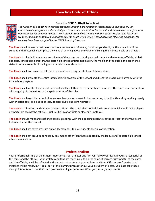# **Coaches Code of Ethics**

#### **From the NFHS Softball Rules Book**



*The function of a coach is to educate students through participation in interscholastic competition. An interscholastic program should be designed to enhance academic achievement and should never interfere with opportunities for academic success. Each student should be treated with the utmost respect and his or her welfare should be considered in decisions by the coach at all times. Accordingly, the following guidelines for coaches have been adopted by the NFHS Board of Directors.*

**The Coach** shall be aware that he or she has a tremendous influence, for either good or ill, on the education of the student and, thus, shall never place the value of winning above the value of instilling the highest ideals of character.

**The Coach** shall uphold the honor and dignity of the profession. IN all personal contact with students, officials, athletic directors, school administrators, the state high school athletic association, the media and the public, the coach shall strive to set an example of the highest ethical and moral conduct.

**The Coach** shall take an active role in the prevention of drug, alcohol, and tobacco abuse.

**The Coach** shall promote the entire interscholastic program of the school and direct the program in harmony with the total school program.

**The Coach** shall master the contest rules and shall teach them to his or her team members. The coach shall not seek an advantage by circumvention of the spirit or letter of the rules.

**The Coach** shall exert his or her influence to enhance sportsmanship by spectators, both directly and by working closely with cheerleaders, pep club sponsors, booster clubs, and administrators.

**The Coach** shall respect and support contest officials. The coach shall not indulge in conduct which would incite players or spectators against the officials. Public criticism of officials or players is unethical.

**The Coach** should meet and exchange cordial greetings with the opposing coach to set the correct tone for the event before and after the contest.

**The Coach** shall not exert pressure on faculty members to give students special consideration.

**The Coach** shall not scout opponents by any means other than those adopted by the league and/or state high school athletic association.

## **Professionalism**

Your professionalism is of the utmost importance. Your athletes and fans will follow your lead. If you are respectful of the game and the officials, your athletes and fans are more likely to do the same. If you are disrespectful of the game and the officials, it will be reflected in the words and actions of your athletes and fans. Officials aren't perfect and mistakes will be made, but it is all part of the learning process for our young student-athletes. So please take those disappointments and turn them into positive learning experiences. What you permit, you promote.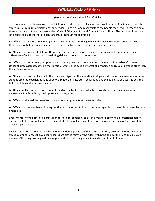# **Officials Code of Ethics**

#### (From the OHSAA Handbook for Officials)

Our member schools have entrusted officials to assist them in the education and development of their youth through athletics. This requires officials to be independent, impartial, and responsible to the people they serve. In recognition of these expectations there is an established **Code of Ethics** and **Code of Conduct** for all officials. The purpose of the code is to establish guidelines for ethical standards of conduct for all officials.

**An Official** must devote time, thought and study to the rules of the game and the mechanics necessary to carry out these rules so that one may render effective and credible service in a fair and unbiased manner.

**An Official** must work with fellow officials and the state association in a spirit of harmony and cooperation in spite of differences of opinion that may arise during debate of points or rules at issue.

**An Official** must resist every temptation and outside pressure to use one's position as an official to benefit oneself. Under all circumstances, officials must avoid promoting the special interest of any person or group of persons other than the athletes we serve.

**An Official** must constantly uphold the honor and dignity of the avocation in all personal conduct and relations with the student-athletes, coaches, athletic directors, school administrators, colleagues, and the public, to be a worthy example to the athletes under one's jurisdiction.

**An Official** will be prepared both physically and mentally, dress accordingly to expectations and maintain a proper appearance that is befitting the importance of the game.

**An Official** shall avoid the use of **tobacco and related products** at the contest site.

**An Official** must remember and recognize that it is important to honor contracts regardless of possible inconvenience or financial loss.

Every member of the officiating profession carries a responsibility to act in a manner becoming a professional person. The conduct of any official influences the attitude of the public toward the profession in general as well as toward the official in particular.

Sports officials bear great responsibility for engendering public confidence in sports. They are critical to the health of athletic competitions. Officials ensure games are played fairly, by the rules, within the spirit of the rules and in a safe manner. Officiating takes a great deal of preparation, continuing education and commitment of time.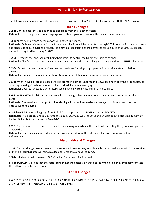# **2022 Rules Information**

The following national playing rule updates were to go into effect in 2022 and will now begin with the 2022 season.

## **Rules Changes**

**1-2-1:** Clarifies bases may be designed to disengage from their anchor system. **Rationale:** This change places rule language with other regulations covering the field and its equipment.

**1-3-3:** Aligns ball tolerance specifications with other rule codes.

**Rationale:** Balls manufactured with the former specifications will be permitted through 2024, to allow for manufacturers and schools to reduce current inventory. The new ball specifications are permitted for use during the 2021-22 season and will be required by January 1, 2025.

**3-2-5b:** Removes the language prohibiting hard items to control the hair in the sport of softball. **Rationale:** Clarifies adornments such as beads can be worn in the hair and aligns language with other NFHS rules codes.

**3-2-5c:** Permits players to wear soft and secure headwear for religious purposes without prior state association approval.

**Rationale:** Eliminates the need for authorization from the state associations for religious headwear.

**3-5-3:** When in live ball areas, a coach shall be attired in a school uniform or jersey/coaching shirt with slacks, shorts, or other leg coverings in school colors or colors of khaki, black, white or gray. **Rationale:** Updated language clarifies items which can be worn by coaches in a live-ball area.

**3-6-21 & PENALTY:** Establishes the penalty when a damaged bat that was previously removed is re-introduced into the game.

**Rationale:** The penalty outlines protocol for dealing with situations in which a damaged bat is removed, then reintroduced to the game.

**6-2-2 & NOTE:** Removes language from Rule 6-2-2 and places it as a NOTE under the PENALTY. **Rationale:** The language and rule reference is a reminder to players, coaches and officials about distracting items worn by the pitcher, but is not a part of Rule 6-2-2.

**8-2-6:** Clarifies a runner is considered outside the running lane when either foot last contacting the ground completely outside the lane.

**Rationale:** New language more adequately describes the intent of the rule and will provide more consistent enforcement.

## **Major Editorial Changes**

**1-1-7:** Clarifies that game management or a state administrator may establish a dead-ball media area within the confines of the field, but that area will remain a dead ball area throughout the game.

**1-5-1d:** Updates to add the new USA Softball All Games certification mark.

**8-4-3d PENALTY:** Clarifies that the batter-runner, not the batter is awarded bases when a fielder intentionally contacts the ball with detached equipment.

## **Editorial Changes**

2-4-3, 2-37, 2-38-2, 2-38-3, 2-38-4, 3-2-12, 3-7-1 NOTE, 4-2-3 NOTE 2, 5-1 Dead Ball Table, 7-3-1, 7-4-2 NOTE, 7-4-6, 7-4- 7, 7-4-15 NEW, 7-5-4 PENALTY 1, 9-5 EXCEPTION 1 and 3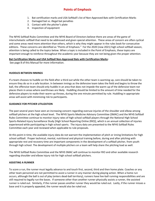# **Points of Emphasis**

- 1. Bat certification marks and USA Softball's list of Non-Approved Bats with Certification Marks
- 2. Damaged bat vs. illegal bat penalties
- 3. Contact with the pitcher's plate
- 4. Inspection of equipment

The NFHS Softball Rules Committee and the NFHS Board of Directors believe there are areas of the game of interscholastic softball that need to be addressed and given special attention. These areas of concern are often cyclical and some areas need more attention than others, which is why they might appear in the rules book for consecutive editions. These concerns are identified as "Points of Emphasis." For the 2020 (now 2021) high school softball season, attention is being called to the topics below. When a topic is included in the Point of Emphasis, these topics are important enough to reinforce throughout the academic year because they are not being given the proper attention.

#### **Bat Certification Marks and USA Softball Non-Approved Bats with Certification Marks:**

See page 8 of this Manual for more information.

#### **HUDDLES BETWEEN INNINGS**

If a team chooses to huddle on the field after a third out while the other team is warming up, care should be taken to ensure they do so in a safe location. In between innings as the defensive team takes the field and begins to throw the ball, the offensive team should only huddle in an area that does not impede the warm-up of the defensive team nor places them in areas where overthrows are likely. Huddling should be limited to the amount of time needed for the defensive players to make their warm-up throws, during the one minute permitted by rule. Huddling in appropriate areas will assist with minimizing risk to participants.

#### **GUIDANCE FOR PITCHER UTILIZATION**

The past several years have seen an increasing concern regarding overuse injuries of the shoulder and elbow among softball pitchers at the high school level. The NFHS Sports Medicine Advisory Committee (SMAC) and the NFHS Softball Rules Committee continue to monitor injury rates of high school softball players through the National High School Sports-Related Injury Surveillance Study [High School Reporting Online (RIO)], which is an annual collection of injuries experienced while participating in high school sports. The injury data are presented to the NFHS Softball Rules Committee each year and reviewed when applicable to rule proposals.

At this point in time, the available injury data do not warrant the implementation of pitch or inning limitations for high school softball. Proper technical, mental, nutritional and physical training before, during and after pitching with appropriate rest and recovery time are important components in the development of a softball pitcher, from youth through high school. The development of multiple pitchers on a team will help share the pitching load as well.

The NFHS Softball Rules Committee and the NFHS SMAC will continue to monitor RIO and other available research regarding shoulder and elbow injury risk for high school softball pitchers.

#### **ASSISTING A RUNNER**

To score a run, the runner must legally advance to and touch first, second, third and then home plate. Coaches or any other team personnel are not permitted to assist a runner in any manner during playing action. When a home run occurs, although the ball is out of play (enters dead-ball territory), runners have live-ball running responsibilities and are still required to legally run the bases. If someone other than another runner physically assists a runner, the assisted runner is ruled out. Similarly, if the runner passes another runner they would be ruled out. Lastly, if the runner misses a base and it is properly appealed, the runner would also be ruled out.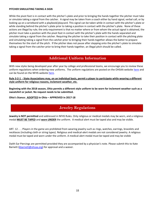#### **PITCHER SIMULATING TAKING A SIGN**

While the pivot foot is in contact with the pitcher's plate and prior to bringing the hands together the pitcher must take or simulate taking a signal from the catcher. A signal may be taken from a coach either by hand signal, verbal call, or by looking up on a wristband with a playbook/playcard. This signal can be taken while in contact with the pitcher's plate or while standing behind the pitcher's plate prior to taking a position in contact with the pitcher's plate. None of these actions are illegal by rule; the only requirement is that no matter where or from whom the actual signal is obtained, the pitcher must take a position with the pivot foot in contact with the pitcher's plate with the hands separated and simulate taking a signal from the catcher. Requiring the pitcher to take their position in contact with the pitching plate and simulating taking a signal from the catcher prior to bringing their hands together allows the batter to prepare themselves for the start of the pitch. If the pitcher does not pause after stepping onto the pitcher's plate to simulate taking a signal from the catcher prior to bring their hands together, an illegal pitch should be called.

# **Additional Uniform Information**

With new styles being developed year after year by college and professional teams, we encourage you to review these uniform regulations when ordering new uniforms. The uniform regulations are posted on the OHSAA website [here](https://www.ohsaa.org/SchoolResources/uniform/softball) and can be found on the NFHS websit[e here.](https://www.nfhs.org/media/5393665/2022-softball-uniforms.pdf)

**Rule 3-2-1 - State Associations may, on an individual basis, permit a player to participate while wearing a different style uniform for religious reasons, inclement weather, etc.**

**Beginning with the 2018 season, Ohio permits a different style uniform to be worn for inclement weather such as a sweatshirt or jacket. No request needs to be submitted.**

**Ohio's Stance: ADOPTED in Ohio – APPROVED in 2017-18**

# **Jewelry Regulations**

**Jewelry is NOT permitted** and addressed in NFHS Rules. Only religious or medical medals may be worn, and a religious medal **MUST BE TAPED** and **worn UNDER** the uniform. A medical alert must be taped also and may be visible.

ART. 12 . . . Players in the game are prohibited from wearing jewelry such as rings, watches, earrings, bracelets and necklaces (including cloth or string types). Religious and medical-alert medals are not considered jewelry. A religious medal must be taped and worn under the uniform. A medical-alert medal must be taped and may be visible

Daith Ear Piercings are permitted provided they are accompanied by a physician's note. Please submit this to Kate Barnett [\(kbarnett@ohsaa.org\)](mailto:kbarnett@ohsaa.org) for approval and a waiver.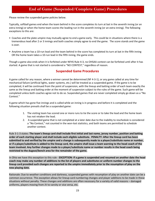# **End of Game (Suspended/Complete Game) Procedures**

Please review the suspended game policies below.

Typically, softball games end when the team behind in the score completes its turn at bat in the seventh inning (or an extra inning) or when the home team scores the leading run in the seventh inning (or an extra inning). The following exceptions to this are:

- Coaches and the plate umpire may mutually agree to end a game early. This could be in situations where there is a tremendous lead after 2 or 3 innings and both coaches simply agree to end the game. The score stands and the game is over.
- Anytime a team has a 10-run lead and the team behind in the score has completed its turn at bat in the fifth inning OR the home team takes a 10-run lead in the fifth inning, the game ends.

Though a game also ends when it is forfeited under NFHS Rule 4-3, no OHSAA contest can be forfeited until after it has started. A game that is not started is considered a "NO CONTEST," regardless of reason.

## **Suspended Game Procedures**

A game called for any reason, where a winner cannot be determined (NF 4-3-1), or any game called at any time for mechanical failure (artificial lights, water systems, etc.) will be treated as a suspended game. If the game is to be completed, it will be continued from the point of suspension, with the lineup and batting order of each team exactly the same as the lineup and batting order at the moment of suspension subject to the rules of the game. Such game will be completed unless both coaches agree not to do so. Suspended games that are never completed simply go down as a "No Contest."

A game which has gone five innings and is called while an inning is in progress and before it is completed and the following situation prevails shall be a suspended game:

- 1. The visiting team has scored one or more runs to tie the score or to take the lead and the home team has not retaken the lead.
- 2. A suspended game that is not completed at a later date due to the inability to reschedule is considered a "No Contest," not counted in the won-lost statistics, and both teams are permitted to schedule another contest.

Rule 3-1-3 states: **The team's lineup card shall include first initial and last name, jersey number, position and batting order of each starting player and shall include each eligible substitute. PENALTY: After the lineup card has been submitted to and verified by the umpire and a change is subsequently made to a player/substitute name or number, or if a player/substitute is added to the lineup card, the umpire shall issue a team warning to the head coach of the team involved. Any further changes made to a player/substitute name or number results in the head coach being restricted to the dugout/bench area for the remainder of the game.**

In Ohio we have this exception to this rule - **EXCEPTION: If a game is suspended and resumed on another date the head coach may make any number of additions to the list of players and substitutes or uniform number changes to the lineup card provided such changes are reported to the umpire immediately prior to the resumption of play on the new playing date.**

Rationale: Due to weather conditions and darkness, suspended games with resumption of play on another date can be a common occurrence. This exception allows for lineup card numbering changes and player additions to be made in these situations without penalty. These changes and additions are often necessary for a variety of valid reasons – damaged uniforms, players moving from JV to varsity or vice versa, etc.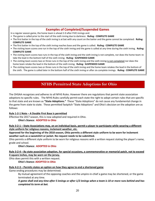## **Examples of Completed/Suspended Games**

In a regular season game, the home team is ahead 2-0 after FIVE innings and:

- The game is called prior to the start of the sixth inning due to darkness: **Ruling: COMPLETE GAME**
- The first batter in the top of the sixth inning is at bat with any count on the batter and the game cannot be completed: **Ruling: COMPLETE GAME**
- The first batter in the top of the sixth inning reaches base and the game is called. **Ruling: COMPLETE GAME**
- The visiting team scores one run in the top of the sixth inning and the game is called at any time during the sixth inning. **Ruling: COMPLETE GAME**
- The visiting team scores two runs in the top of the sixth inning and the sixth inning is not complete, nor does the home team re take the lead in the bottom half of the sixth inning. **Ruling: SUSPENDED GAME**
- The visiting team scores two or three runs in the top of the sixth inning and the sixth inning is not completed nor does the home team retake the lead in the bottom of the sixth inning. **Ruling: SUSPENDED GAME**
- The visiting team scores two or three runs in the top of the sixth inning and the home team retakes the lead in the bottom of the sixth. The game is called later in the bottom half of the sixth inning or after six complete innings. **Ruling: COMPLETE GAME**

# **NFHS Permitted State Adoptions for Ohio**

The OHSAA recognizes and adheres to all NFHS Rules. However there are regulations that permit state association adoptions to specific rules. The NFHS Rules carefully permit each state the right to adopt certain rules that are specific to that state and are known as **"State Adoptions."** These "State Adoptions" do not cause any fundamental change in the game from state to state. These permitted fastpitch "State Adoptions" and Ohio's decision on the adoption are as follows:

#### **Rule 1-2-1 Note – A Double First Base is permitted**

Effective the 2017 season, this is now adopted and required in Ohio.

**Ohio's Stance: ADOPTED in Ohio**

**Rule 3-2-1 – State Associations may, on an individual basis, permit a player to participate while wearing a different style uniform for religious reasons, inclement weather, etc.**

**Approved for the beginning of the 2018 season, Ohio permits a different style uniform to be worn for inclement weather such as a sweatshirt or jacket. No request needs to be submitted.**

Ohio permits a different style uniform to be worn for religious reasons with a written request stating the player's name, grade and school.

**Ohio's Stance: ADOPTED in Ohio**

#### **Rule 3-2-4 – By state association adoption, for special occasions, a commemorative or memorial patch, not to exceed 4 square inches, may be worn on the jersey.**

Ohio does permit this with a written request.

**Ohio's Stance: ADOPTED in Ohio**

#### **Rule 4-2-3 – Permits states an option on how they agree to end a shortened game**

Game ending procedures may be determined.

By mutual agreement of the opposing coaches and the umpire-in-chief a game may be shortened, or the game terminated at any time.

*A game shall end any time after 5 innings or after 1/2 innings when a team is 10 or more runs behind and has completed its term at bat.*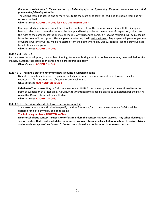#### *If a game is called prior to the completion of a full inning after the fifth inning, the game becomes a suspended game in the following situation:*

The visiting team has scored one or more runs to tie the score or to take the lead, and the home team has not retaken the lead.

**Ohio's Stance: ADOPTED in Ohio for REGULAR SEASON ONLY** 

If a suspended game is to be completed it will be continued from the point of suspension with the lineup and batting order of each team the same as the lineup and batting order at the moment of suspension, subject to the rules of the game (substitution may be made). Any suspended game, if it is to be resumed, will be picked up from the point of interruption. **Once a game has started, it will not start over**. Any suspended game, regardless of where it was interrupted, will be re-started from the point where play was suspended (see the previous page for additional examples).

**Ohio's Stance: ADOPTED in Ohio**

#### **Rule 4-2-3 – NOTE 2**

By state association adoption, the number of innings for one or both games in a doubleheader may be scheduled for five innings. Current state association game-ending procedures still apply.

**Ohio's Stance: ADOPTED in Ohio**

#### **Rule 4-3-1 – Permits a state to determine how it counts a suspended game**

By state association adoption, a regulation called game, where a winner cannot be determined, shall be counted as 1/2 game won and 1/2 game lost for each team.

**Ohio's Stance: NOT ADOPTED in Ohio**

**Relative to Tournament Play in Ohio:** Any suspended OHSAA tournament game shall be continued from the point of suspension at a later time. All OHSAA tournament games shall be played to completion per the playing rules (the 10-run rule would be applicable).

**Ohio's Stance: ADOPTED in Ohio**

#### **Rule 4-3-1a – Permits each state to how to determine a forfeit**

State associations are authorized to specify the time frame and/or circumstances before a forfeit shall be declared for a late arrival by one of its teams.

#### **The following has been ADOPTED in Ohio:**

**No interscholastic contest is subject to forfeiture unless the contest has been started. Any scheduled regular season contest that is not started due to unforeseen circumstances such as, failure of a team to arrive, strikes and school closings are "No Contest." Contests not played are not included in won-lost statistics.**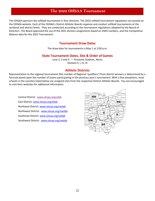# **The 2022 OHSAA Tournament**

The OHSAA sponsors the softball tournament in four divisions. The 2022 softball tournament regulations are posted on the OHSAA website. Each of the OHSAA's District Athletic Boards organize and conduct softball tournaments at the sectional and district levels. They are conducted according to the tournament regulations adopted by the Board of Directors. The Board approved the use of the 2021 division assignments based on EMIS numbers, and the Competitive Balance data for the 2022 Tournament.

## **Tournament Draw Dates**

The draw date for tournaments is May 1 at 2:00 p.m.

## **State Tournament Dates, Site & Order of Games**

June 2, 3 and 4 — Firestone Stadium, Akron Division II, I, IV, III

## **Athletic Districts**

Representation to the regional tournament (the number of Regional 'qualifiers') from district winners is determined by a formula based upon the number of teams participating in the previous year's tournament. With a few exceptions, most schools in the counties listed below are assigned sites from the respective District Athletic Boards. You are encouraged to visit their websites for additional information.

Central District: [www.ohsaa.org/cdab](http://www.ohsaa.org/cdab) East District[: www.ohsaa.org/edab](http://www.ohsaa.org/edab) Northeast District: [www.ohsaa.org/nedab](http://www.ohsaa.org/nedab) Northwest District: [www.ohsaa.org/nwdab](http://www.ohsaa.org/nwdab) Southeast District[: www.ohsaa.org/sedab](http://www.ohsaa.org/sedab) Southwest District: [www.ohsaa.org/swdab](http://www.ohsaa.org/swdab)

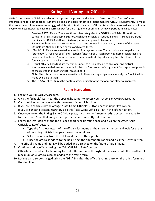# **Rating and Voting for Officials**

OHSAA tournament officials are selected by a process approved by the Board of Directors. That 'process' is an important one for both coaches AND officials and is the basis for officials' assignments to OHSAA Tournaments. To make this process work, it requires coaches and administrators to do their part. Officials take this process seriously and it is in everyone's best interest to have the correct input for the assignment of officials. A few important things to note:

- 1. Coaches **RATE** officials. There are three other categories that **VOTE** for officials. Those three categories are: athletic administrators, each local officials' association and a "stakeholders group" that includes OHSAA staff, certified assigners and approved observers.
- 2. Ratings are best done at the conclusion of a game but need to be done by the end of the season. Officials are **NOT** able to see how a coach rated them.
- 3. "Pools" of officials are created as a result of ratings and votes. These pools are arranged into a "state pool,", "regional pool" and "sectional/district pool." Each pool has more officials than are needed at that level. Pools are created by mathematically by calculating the total of each of the four categories to equal a score
- 4. District Athletic Boards utilize the various pools to assign officials to **sectional and district tournaments** in their respective athletic districts. The process of assignment from approved pools is at the discretion of each District Athletic Board. **Note:** The total score is not made available to those making assignments; merely the 'pool' itself is made available to them.
- 5. The OHSAA Office utilizes the pools to assign officials to the **regional and state tournaments**.

# **Rating Instructions**

- 1. Login to your myOHSAA account.
- 2. Click the "Schools" icon near the upper right corner to access your school's myOHSAA account.
- 3. Click the blue button labeled with the name of your high school.
- 4. If you are a coach, click the orange "Rate Game Officials" button near the upper left corner. If you are an athletic administrator, click the "Rate Game Officials" link in the left navigation.
- 5. Once you are on the Rating Game Officials page, click the star (green or red) to access the rating form for that sport. Stars that are gray are sports that are currently out of season.
- 6. Follow the instructions at the top of each sport specific rating page and click on the green "Add Officials to Rate" button.
	- Type the first few letters of the official's last name or their permit number and wait for the list of matching officials to appear below the input box.
	- Select the official from the list to add them to the input box.
	- Once the official is added to the box, select the appropriate rating and click the "Save" button.
- 7. The official's name and rating will be added and displayed on the "Rate Officials" page.
- 8. Continue adding officials using the "Add Official to Rate" button.
- 9. Officials can be added to the rating form at different times throughout the season until the deadline. A maximum of 50 officials can be added to the rating form.
- 10. Ratings can also be changed using the "Edit" link after the official's rating entry on the rating form until the deadline.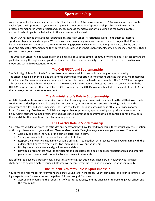# **Sportsmanship**

As we prepare for the upcoming seasons, the Ohio High School Athletic Association (OHSAA) wishes to emphasize to each of you the importance of your leadership role in the promotion of sportsmanship, ethics and integrity. The professional manner in which officials and coaches conduct themselves prior to, during and following a contest unquestionably impacts the behavior of others who may be involved.

The OHSAA has joined the National Federation of State High School Associations (NFHS) in its quest to improve sportsmanship, ethics and integrity. We are involved in an ongoing campaign in every sport to do just that. Printed below is the mission statement of the NFHS concerning sportsmanship, ethics, and integrity. Please take the time to read and digest this statement and then carefully consider your impact upon students, officials, coaches, and fans. Thank you and have a great season!

The Ohio High School Athletic Association challenges all of us in the softball community to take positive steps toward the goal of attaining the high ideal of good sportsmanship. It is the responsibility of each of us to serve as a positive role model and set high expectations for others.

## **The OHSFPSCA and Sportsmanship**

The Ohio High School Fast Pitch Coaches Association stands tall in its commitment to good sportsmanship. The school-based experience is one that affords tremendous opportunities to student-athletes that they will remember for a lifetime. Those experiences are dependent on the role model the head coach provides. The OHSFSCA encourages all coaches to exhibit behavior that serves as a role model for the student-athletes we serve. In conjunction with the OHSAA's Sportsmanship, Ethics and Integrity (SEI) Committee, the OHSFSCA annually selects a recipient of the SEI Award that is recognized at the state tournament.

## **The Administrator's Role in Sportsmanship**

Athletic departments are comprehensive, pre-eminent teaching departments with a subject matter all their own: selfconfidence, leadership, teamwork, discipline, perseverance, respect for others, strategic thinking, dedication, the importance of rules, and sportsmanship. These are true life lessons and participation in athletics provides another forum for learning. Coaches and Officials are responsible for promoting sportsmanship and positive behavior on the field. Administrators, we need your continued assistance in promoting sportsmanship and controlling fan behavior in the stands! Let the parents and fans know what you expect!

## **The Coach's Role in Sportsmanship**

Your athletes will demonstrate the attitudes and behaviors they have learned from you, either through direct instruction or through observation of your actions. *Never underestimate the influence you have on your players!* You must:

- Abide by and teach the rules of the game in letter and in spirit.
- Set a good example for players and spectators to follow.
- Respect the integrity and judgment of game officials. Treating them with respect, even if you disagree with their judgment, will serve to create a positive impression of you and your team.
- Display modesty in victory and graciousness in defeat.
- Develop a program that rewards participants and spectators for displaying proper sportsmanship and enforces penalties on those who do not abide by sportsmanship standards.

It is difficult to develop a great pitcher, a great catcher or a great outfielder. That is true. However, your greatest challenge is to develop mature young adults who will become great citizens and role models in your community.

## **The Student-Athlete's Role in Sportsmanship**

You serve as a role model for your younger siblings, young fans in the stands, your teammates, and your classmates. Set high expectations for everyone and help them follow-through! You must:

Accept and understand the seriousness of your responsibility, and the privilege of representing your school and the community.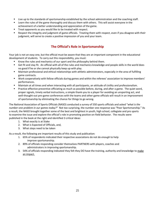- Live up to the standards of sportsmanship established by the school administration and the coaching staff.
- Learn the rules of the game thoroughly and discuss them with others. This will assist everyone in the achievement of a better understanding and appreciation of the game.
- Treat opponents as you would like to be treated with respect.
- Respect the integrity and judgment of game officials. Treating them with respect, even if you disagree with their judgment, will serve to create a positive impression of you and your team.

# **The Official's Role in Sportsmanship**

Your job is not an easy one, but the official must be aware that they are an important component in the educational development of students. To carry out this responsibility, you must:

- Know the rules and mechanics of our sport and the philosophy behind them.
- Get fit and stay fit. An official with all of the rules and mechanics knowledge and people skills in the world does no good if he or she cannot physically keep up with play.
- Maintain professional and ethical relationships with athletic administrators, especially in the area of fulfilling game contracts.
- Work cooperatively with fellow officials during games and within the referees' association to improve members' performances.
- Maintain at all times and when interacting with all participants, an attitude of civility and professionalism.
- Practice effective preventive officiating as much as possible before, during, and after a game. The quiet word, proper signals, timely verbal instructions, a simple thank-you to a player for avoiding an unsporting act, and well-thought-out pre-game conferences with the teams and other game officials will result in an improvement of sportsmanship by eliminating the chance for things to go wrong.

The National Association of Sports Officials (NASO) conducted a survey of 550 sports officials and asked "*what is the number-one problem in our games today?"* Not too surprising, the number one response was "Poor Sportsmanship." As a result, the NASO brought together some of the best and brightest in youth, high school, collegiate and pro sports to examine the issue and explore the official's role in promoting positive on-field behavior. The results were published in the book at the right and identified 3 critical ideas:

- 1. What exactly is at Stake
- 2. What is Expected of Officials, and,
- 3. What steps need to be taken

As a result, the following are important results of this study and publication:

- 1. 65% of respondents indicated their respective associations do not do *enough* to help improve sportsmanship.
- 2. 89% of officials responding consider themselves PARTNERS with players, coaches and administrators in improving sportsmanship.
- 3. 54% of officials responding indicated they felt they DO have the training, authority and knowledge to make an impact.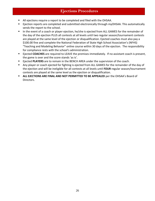# **Ejections Procedures**

- All ejections require a report to be completed and filed with the OHSAA.
- Ejection reports are completed and submitted electronically through myOHSAA. This automatically sends the report to the school.
- In the event of a coach or player ejection, he/she is ejected from ALL GAMES for the remainder of the day of the ejection PLUS all contests at all levels until two regular season/tournament contests are played at the same level of the ejection or disqualification. Ejected coaches must also pay a \$100.00 fine and complete the National Federation of State High School Association's (NFHS) "Teaching and Modeling Behavior" online course within 30 days of the ejection. The responsibility for compliance rests with the school's administration.
- Ejected **COACHES** are required to LEAVE the premises immediately. If no assistant coach is present, the game is over and the score stands 'as is'.
- Ejected PLAYERS are to remain in the BENCH AREA under the supervision of the coach.
- Any player or coach ejected for fighting is ejected from ALL GAMES for the remainder of the day of the ejection and will be ineligible for all contests at all levels until **FOUR** regular season/tournament contests are played at the same level as the ejection or disqualification.
- ALL EJECTIONS ARE FINAL AND NOT PERMITTED TO BE APPEALED per the OHSAA's Board of Directors.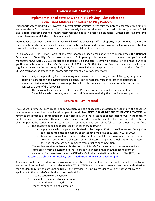# **Concussion Management**

## **Implementation of State Law and NFHS Playing Rules Related to Concussed Athletes and Return to Play Protocol**

It is important for all individuals involved in interscholastic athletics to recognize the potential for catastrophic injury and even death from concussions. Thus, it is extremely important that each coach, administrator, contest official and medical support personnel review their responsibilities in protecting students. Further both students and parents have responsibilities in this area as well.

**Note:** It has always been the ultimate responsibility of the coaching staff, in all sports, to ensure that students are only put into practice or contests if they are physically capable of performing. However, all individuals involved in the conduct of interscholastic competition have responsibilities in this endeavor.

In January 2011, the OHSAA Board of Directors adopted a sports regulation which incorporated the National Federation of State High School Associations (NFHS) playing rules related to concussion recognition and management. On April 26, 2013, legislation adopted by Ohio's General Assembly on concussion and head injuries in youth sports became effective. On February 14, 2013, the OHSAA Board of Directors mandated that these regulations become effective on April 26, 2013, for the remainder of the spring sports season and thereafter. This OHSAA regulation, as amended to incorporate this recent legislation, now reads:

Any student, while practicing for or competing in an interscholastic contest, who exhibits signs, symptoms or behaviors consistent with having sustained a concussion or head injury (such as loss of consciousness, headache, dizziness, confusion or balance problems) shall be immediately removed from the practice or contest by either of the following:

- 1.) The individual who is serving as the student's coach during that practice or competition.
- 2.) An individual who is serving as a contest official or referee during that practice or competition.

## **Return to Play Protocol**

If a student is removed from practice or competition due to a suspected concussion or head injury, the coach or referee who removes the student shall not permit the student, **ON THE SAME DAY THE STUDENT IS REMOVED**, to return to that practice or competition or to participate in any other practice or competition for which the coach or contest official is responsible. Thereafter, which means no earlier than the next day, the coach or contest officials shall not permit the student to return to practice or competition until both of the following conditions are satisfied:

- 1.) The student's condition is assessed by either of the following:
	- a. A physician, who is a person authorized under Chapter 4731 of the Ohio Revised Code (OCR) to practice medicine and surgery or osteopathic medicine or surgery (M.D. or D.O.)
	- b. Any other licensed health care provider that the school district board of education or other governing authority of a chartered or non-chartered nonpublic school, authorizes to assess the student who has been removed from practice or competition.
- 2.) The student receives **written authorization** that it is safe for the student to return to practice or competition from a physician or other licensed health care provider authorized to grant the clearance. Click here to retrieve the OHSAA's Medical Authorization to Return to Play (RTP) form [https://www.ohsaa.org/Portals/0/Sports-Medicine/AuthorizationToReenter.pdf](https://ohsaaweb.blob.core.windows.net/files/Sports-Medicine/OHSAAConcussionReport.pdf)

A school district board of education or governing authority of a chartered or non-chartered nonpublic school may authorize a licensed health care provider who is NOT a PHYSICIAN to make an assessment and grant authorization for a student to return to participation ONLY if the provider is acting in accordance with one of the following as applicable to the provider's authority to practice in Ohio:

- 1.) In consultation with a physician;
- 2.) Pursuant to the referral of a physician;
- 3.) In collaboration with a physician, or
- 4.) Under the supervision of a physician.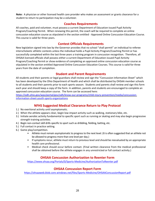**Note:** A physician or other licensed health care provider who makes an assessment or grants clearance for a student to return to participation may be a volunteer.

## **Coaches Requirements**

All coaches, paid and volunteer, must possess a current Department of Education-issued Pupil Activity Program/Coaching Permit. When renewing this permit, the coach will be required to complete an online concussion education course as stipulated in the section entitled - Approved Online Concussion Education Course. This course is valid for three years.

## **Contest Officials Requirements**

New legislation signed into law by the Governor provides that no school "shall permit" an individual to referee interscholastic athletic contests unless the individual holds a Pupil Activity Program/Coaching Permit or has successfully completed within the last three years a training program in concussion recognition. Therefore, all OHSAA licensed officials shall possess either a current Department of Education-issued Pupil Activity Program/Coaching Permit or show evidence of completing an approved online concussion education course as stipulated in the section entitled Approved Online Concussion Education Courses. This course is valid for three years from the date of completion.

## **Student and Parent Requirements**

All students and their parents or legal guardians shall review and sign the "Concussion Information Sheet" which has been developed by the Ohio Department of Health and which shall be distributed by OHSAA member schools to all students and their parents prior to each sports season. Students and parents shall review and sign this form each year and should keep a copy of the form. In addition, parents and students are encouraged to complete an approved concussion education course. The form can be accessed here:

[https://odh.ohio.gov/wps/portal/gov/odh/know-our-programs/child-injury-prevention/media/concussion](https://odh.ohio.gov/wps/portal/gov/odh/know-our-programs/child-injury-prevention/media/concussion-information-sheet-youth-sports-organizations)[information-sheet-youth-sports-organizations](https://odh.ohio.gov/wps/portal/gov/odh/know-our-programs/child-injury-prevention/media/concussion-information-sheet-youth-sports-organizations)

## **NFHS Suggested Medical Clearance Return to Play Protocol**

- 1.) No exertional activity until asymptomatic.
- 2.) When the athlete appears clear, begin low-impact activity such as walking, stationary bike, etc.
- 3.) Initiate aerobic activity fundamental to specific sport such as running or skating and may also begin progressive strength training activities.
- 4.) Begin non-contact skill drills specific to sport such as dribbling, fielding, batting, etc.
- 5.) Full contact in practice setting.
- 6.) Game play/competition.
	- Athlete must remain asymptomatic to progress to the next level. (It is often suggested that an athlete not be allowed to progress more than one level per day.)
	- If symptoms recur, athlete must return to previous level and should be reevaluated by an appropriate health care professional.
	- Medical check should occur before contact. (Final written clearance from the medical professional shall be obtained before the athlete engages in any unrestricted or full contact activity.)

## **OHSAA Concussion Authorization to Reenter Form**

<https://www.ohsaa.org/Portals/0/Sports-Medicine/AuthorizationToReenter.pdf>

## **OHSAA Concussion Report Form**

<https://ohsaaweb.blob.core.windows.net/files/Sports-Medicine/OHSAAConcussionReport.pdf>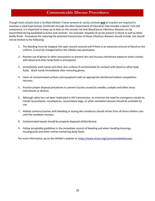# **Communicable Disease Procedures**

Though most schools have a Certified Athletic Trainer present at varsity contests *and* all coaches are required to maintain a valid Pupil Activity Certificate through the Ohio Department of Education that includes a Sports' First Aid component, it is important to keep up to date on the remote risk that blood borne infectious diseases can be transmitted during basketball practice and contests. For example, Hepatitis B can be present in blood as well as other bodily fluids. Procedures for reducing the potential transmission of these infectious diseases should include, but should not be limited to the following:

- 1. The bleeding must be stopped, the open wound covered and if there is an excessive amount of blood on the uniform, it must be changed before the athlete may participate.
- 2. Routine use of gloves or other precautions to prevent skin and mucous-membrane exposure when contact with blood and other body fluids is anticipated.
- 3. Immediately wash hands and other skin surfaces if contaminated (in contact) with blood or other body fluids. Wash hands immediately after removing gloves.
- 4. Clean all contaminated surfaces and equipment with an appropriate disinfectant before competition resumes.
- 5. Practice proper disposal procedures to prevent injuries caused by needles, scalpels and other sharp instruments or devices.
- 6. Although saliva has not been implicated in HIV transmission, to minimize the need for emergency mouth-tomouth resuscitation, mouthpieces, resuscitation bags, or other ventilation devices should be available for use.
- 7. Athletic trainers/coaches with bleeding or oozing skin conditions should refrain from all direct athletic care until the condition resolves.
- 8. Contaminated towels should be properly disposed of/disinfected.
- 9 Follow acceptable guidelines in the immediate control of bleeding and when handling dressings, mouthguards and other articles containing body fluids.

For more information, go to the OHSAA's website at:<https://www.ohsaa.org/communicablediseases>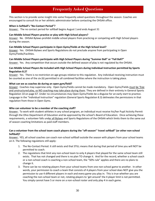# **Frequently Asked Questions**

This section is to provide some insight into some frequently asked questions throughout the season. Coaches are encouraged to consult his or her athletic administrator before contacting the OHSAA office.

#### **When is Softball's "No-Contact Period"?**

Answer: The no contact period for softball begins August 1 and ends August 31

#### **Can Middle School Players practice or play with High School players?**

Answer: No. OHSAA Bylaws prohibit middle school players from practicing or competing with High School players during the season.

#### **Can Middle School Players participate in Open Gyms/Fields at the High School level?**

Answer: Yes. OHSAA Bylaws and Sports Regulations do not preclude anyone from participating in Open Gyms/Fields/Facilities.

#### **Can Middle School Players participate with High School Players during "Summer Ball" or "Fall Ball?"**

Answer: Yes. Any competition that occurs outside the defined season of play is not regulated by the OHSAA.

#### **Can Middle School Players Be Included with High School Players during Individual Instruction permitted by Sports Regulation 8.2?**

Answer: Yes. There is no restriction on age groups relative to this regulation. Any individual receiving instruction must be counted as one of the six (6) permitted in all combined facilities where the instruction is taking place.

#### **What can we as coaches do during an open gym/field?**

Answer: Coaches may supervise only. Open Gyms/Fields cannot be made mandatory. Open Gyms/Fields must be 'free and unstructured play, so NO coaching may take place during them. They are defined in their entirety in General Sports Regulation 10 on page 67. Under no circumstances may Open Gyms/Fields be a disguise for an early start to practice. Language in the "Individual Instruction" regulation (General Sports Regulation 8.3) delineates the permissions in that regulation from those in Open Gyms.

#### **Who can volunteer to be a member of the coaching staff?**

Answer: To work with student-athletes in any school program, an individual must receive his/her Pupil Activity Permit through the Ohio Department of Education and be approved by the school's Board of Education. Once achieving these requirements, a volunteer falls under all Bylaws and Sports Regulations of the OHSAA which limits them to the same out of season coaching limitations as paid staff members.

#### **Can a volunteer from the school team coach players during the "off-season" 'travel softball" (or other non-school Softball)?**

Answer: YES, all school coaches can coach non-school softball outside the season with players from your school teams on it. The following regulations still apply:

- 1. The No-Contact Period. It still exists and that STILL means that during that period of time you will NOT be permitted to coach.
- 2. The regulations that limit any non-school team to only 4 players that played for the same school team still exists. That has not changed and there is no plan TO change it. And for the record, whether a school coach or a non-school coach is coaching a non-school team, the "50% rule" applies and there are no plans to change it.
- 3. There can be no rotating players from your school teams from one non-school game to another. In other words, your permission to coach a team that consists of 4 players from your school does NOT give you the permission to use 4 different players in each and every game you play in. This is true whether you are coaching the non-school team or not, rotating players to 'get around' the 4 player limit is not permitted. You simply cannot have 5 or more on a non-school roster and only play 4 in each game.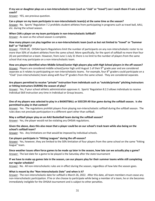#### **If my son or daughter plays on a non-Interscholastic team (such as "club" or "travel") can I coach them if I am a school coach?**

Answer: YES, see previous question.

#### **Can a player on my team participate in non-interscholastic team(s) at the same time as the season?**

Answer: No. Sports' Regulation 7.2 prohibits student-athletes from participating in programs such as travel ball, AAU, etc. during the school season.

#### **When CAN a player on my team participate in non-Interscholastic Softball?**

Answer: As soon as the school season is complete.

#### **How many players can play together on a non-Interscholastic team (such as but not limited to "travel" or "Summer Ball" or "Fall Ball")?**

Answer: FOUR (4). OHSAA Sports Regulations limit the number of participants on any non-interscholastic roster to no more than 50% of student-athletes from the same school. More specifically, for the sport of softball no more than four (4) are permitted on a team. However, from June 1-July 31 there is no limit to the number of players from the same school that may participate on a non-interscholastic team.

**How are players identified when Middle School/Junior High players play with High School players in the off-season?** Answer: Players are considered middle school/junior high until August 1 of their 9<sup>th</sup> grade year and are considered separate as it relates to participating on non-interscholastic teams. For example, four 8<sup>th</sup> graders could participate on a "Club" (non-interscholastic) team along with four 9<sup>th</sup> graders from the same school. They are considered separate.

#### **Are players permitted to receive "private" instruction from individuals such as "outside/private" pitching instructors or hitting instructors DURING the season of play?**

Answer: Yes, if your school athletic administration approves it. Sports' Regulation 8.2.3 allows individuals to receive Individual Skill Instruction any time in Individual or Group lessons.

#### **One of my players was selected to play in a BASKETBALL or SOCCER All-Star game during the softball season. Is she permitted to play in that contest?**

Answer: Yes. The regulations prohibit players from playing non-interscholastic softball during the softball season. The rules does not preclude participation in a different sport other than softball.

#### **May a softball player play on an AAU Basketball team during the softball season?**

Answer: Yes, the player would not be violating any OHSAA regulations.

#### **Given the above, does this also mean that a player could be on our school's track team while also being on the school's softball team?**

Answer: Yes. Any limitations on that would be imposed by individual schools.

#### **Can players participate in "Hitting Leagues" during the off-season?**

Answer: Yes, however, they are limited to the 50% limitation of four players from the same school on the same "hitting league" team.

#### **Since weather issues often force games to be made up later in the season, how late can we actually play a game?** Answer: The last date for a game to be played is the Saturday after the state tournament

#### **IF we have to make up games late in the season, can our players play for their summer teams while still completing our regular schedule?**

Answer: No. All non-interscholastic rules are in effect during the season, regardless of how late the season goes.

#### **What is meant by the "Non-Interscholastic Date" and when is it?**

Answer: The non-interscholastic date for softball is March 26, 2022. After this date, all team members must cease any non-interscholastic participation. If he or she choose to participate while being a member of a team, he or she becomes immediately ineligible for the OHSAA tournament and is subject to other penalties.